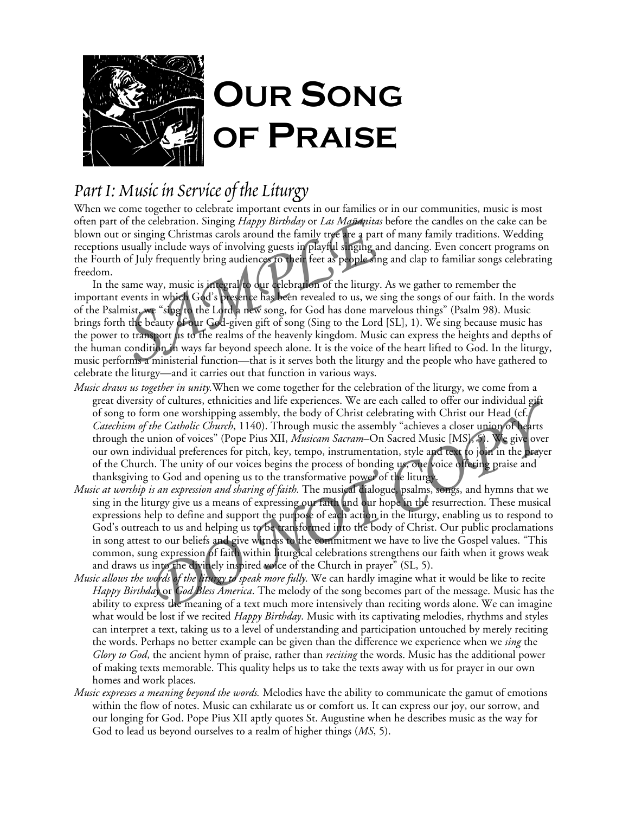

# *Part I: Music in Service of the Liturgy*

When we come together to celebrate important events in our families or in our communities, music is most often part of the celebration. Singing *Happy Birthday* or *Las Mañanitas* before the candles on the cake can be blown out or singing Christmas carols around the family tree are a part of many family traditions. Wedding receptions usually include ways of involving guests in playful singing and dancing. Even concert programs on the Fourth of July frequently bring audiences to their feet as people sing and clap to familiar songs celebrating freedom.

In the same way, music is integral to our celebration of the liturgy. As we gather to remember the important events in which God's presence has been revealed to us, we sing the songs of our faith. In the words of the Psalmist, we "sing to the Lord a new song, for God has done marvelous things" (Psalm 98). Music brings forth the beauty of our God-given gift of song (Sing to the Lord [SL], 1). We sing because music has the power to transport us to the realms of the heavenly kingdom. Music can express the heights and depths of the human condition in ways far beyond speech alone. It is the voice of the heart lifted to God. In the liturgy, music performs a ministerial function—that is it serves both the liturgy and the people who have gathered to celebrate the liturgy—and it carries out that function in various ways. or the celebration. Singing *Happy Birthday* or *Las Mandanitas* b<br>or singing Christmas carols around the family tree are a part o<br>usually include ways of involving guests in playful singing and<br>of July frequently bring au

- *Music draws us together in unity.*When we come together for the celebration of the liturgy, we come from a great diversity of cultures, ethnicities and life experiences. We are each called to offer our individual gift of song to form one worshipping assembly, the body of Christ celebrating with Christ our Head (cf. *Catechism of the Catholic Church*, 1140). Through music the assembly "achieves a closer union of hearts through the union of voices" (Pope Pius XII, *Musicam Sacram–*On Sacred Music [MS], 5). We give over our own individual preferences for pitch, key, tempo, instrumentation, style and text to join in the prayer of the Church. The unity of our voices begins the process of bonding us, one voice offering praise and thanksgiving to God and opening us to the transformative power of the liturgy.
- *Music at worship is an expression and sharing of faith.* The musical dialogue, psalms, songs, and hymns that we sing in the liturgy give us a means of expressing our faith and our hope in the resurrection. These musical expressions help to define and support the purpose of each action in the liturgy, enabling us to respond to God's outreach to us and helping us to be transformed into the body of Christ. Our public proclamations in song attest to our beliefs and give witness to the commitment we have to live the Gospel values. "This common, sung expression of faith within liturgical celebrations strengthens our faith when it grows weak and draws us into the divinely inspired voice of the Church in prayer" (SL, 5). *Promoto this payer by the diffusion and incredibly, the body of Christ celebration with Christ our Head (cf. The Catholic Church)*, 1140). Through music the assembly "achieves a closer union of tearts union of voices" (Po
- *Music allows the words of the liturgy to speak more fully.* We can hardly imagine what it would be like to recite *Happy Birthday* or *God Bless America*. The melody of the song becomes part of the message. Music has the ability to express the meaning of a text much more intensively than reciting words alone. We can imagine what would be lost if we recited *Happy Birthday*. Music with its captivating melodies, rhythms and styles can interpret a text, taking us to a level of understanding and participation untouched by merely reciting the words. Perhaps no better example can be given than the difference we experience when we *sing* the *Glory to God*, the ancient hymn of praise, rather than *reciting* the words. Music has the additional power of making texts memorable. This quality helps us to take the texts away with us for prayer in our own homes and work places.
- *Music expresses a meaning beyond the words.* Melodies have the ability to communicate the gamut of emotions within the flow of notes. Music can exhilarate us or comfort us. It can express our joy, our sorrow, and our longing for God. Pope Pius XII aptly quotes St. Augustine when he describes music as the way for God to lead us beyond ourselves to a realm of higher things (*MS*, 5).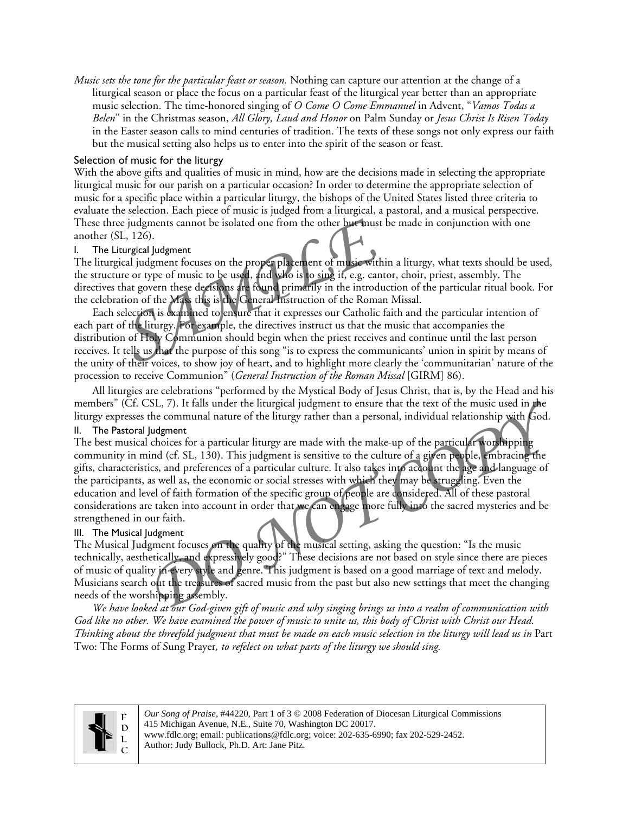*Music sets the tone for the particular feast or season.* Nothing can capture our attention at the change of a liturgical season or place the focus on a particular feast of the liturgical year better than an appropriate music selection. The time-honored singing of *O Come O Come Emmanuel* in Advent, "*Vamos Todas a Belen*" in the Christmas season, *All Glory, Laud and Honor* on Palm Sunday or *Jesus Christ Is Risen Today* in the Easter season calls to mind centuries of tradition. The texts of these songs not only express our faith but the musical setting also helps us to enter into the spirit of the season or feast.

### Selection of music for the liturgy

With the above gifts and qualities of music in mind, how are the decisions made in selecting the appropriate liturgical music for our parish on a particular occasion? In order to determine the appropriate selection of music for a specific place within a particular liturgy, the bishops of the United States listed three criteria to evaluate the selection. Each piece of music is judged from a liturgical, a pastoral, and a musical perspective. These three judgments cannot be isolated one from the other but must be made in conjunction with one another (SL, 126).

#### I. The Liturgical Judgment

The liturgical judgment focuses on the proper placement of music within a liturgy, what texts should be used, the structure or type of music to be used, and who is to sing it, e.g. cantor, choir, priest, assembly. The directives that govern these decisions are found primarily in the introduction of the particular ritual book. For the celebration of the Mass this is the General Instruction of the Roman Missal.

Each selection is examined to ensure that it expresses our Catholic faith and the particular intention of each part of the liturgy. For example, the directives instruct us that the music that accompanies the distribution of Holy Communion should begin when the priest receives and continue until the last person receives. It tells us that the purpose of this song "is to express the communicants' union in spirit by means of the unity of their voices, to show joy of heart, and to highlight more clearly the 'communitarian' nature of the procession to receive Communion" (*General Instruction of the Roman Missal* [GIRM] 86). Example 1 and to be isolated one from the other but must b<br>
L, 126).<br>
L, 126).<br>
L, 126).<br>
L, 126).<br>
L, 126).<br>
L, 126).<br>
L, 126).<br>
L, 126).<br>
L, 126).<br>
L, 126).<br>
L, 126).<br>
L, 126).<br>
L, 126).<br>
L, 126).<br>
L, 126).<br>
L, 126).<br>
L,

All liturgies are celebrations "performed by the Mystical Body of Jesus Christ, that is, by the Head and his members" (Cf. CSL, 7). It falls under the liturgical judgment to ensure that the text of the music used in the liturgy expresses the communal nature of the liturgy rather than a personal, individual relationship with God.

#### II. The Pastoral Judgment

The best musical choices for a particular liturgy are made with the make-up of the particular worshipping community in mind (cf. SL, 130). This judgment is sensitive to the culture of a given people, embracing the gifts, characteristics, and preferences of a particular culture. It also takes into account the age and language of the participants, as well as, the economic or social stresses with which they may be struggling. Even the education and level of faith formation of the specific group of people are considered. All of these pastoral considerations are taken into account in order that we can engage more fully into the sacred mysteries and be strengthened in our faith. *SL*, 7). It falls under the liturgical judgment to ensure that the text of the music used in the communal nature of the liturgy rather than a personal, individual relationship with God.<br>
ludgment<br>
choices for a particular

### III. The Musical Judgment

The Musical Judgment focuses on the quality of the musical setting, asking the question: "Is the music technically, aesthetically, and expressively good?" These decisions are not based on style since there are pieces of music of quality in every style and genre. This judgment is based on a good marriage of text and melody. Musicians search out the treasures of sacred music from the past but also new settings that meet the changing needs of the worshipping assembly.

*We have looked at our God-given gift of music and why singing brings us into a realm of communication with God like no other. We have examined the power of music to unite us, this body of Christ with Christ our Head. Thinking about the threefold judgment that must be made on each music selection in the liturgy will lead us in* Part Two: The Forms of Sung Prayer*, to refelect on what parts of the liturgy we should sing.* 



*Our Song of Praise*, #44220, Part 1 of 3 © 2008 Federation of Diocesan Liturgical Commissions 415 Michigan Avenue, N.E., Suite 70, Washington DC 20017. www.fdlc.org; email: publications@fdlc.org; voice: 202-635-6990; fax 202-529-2452. Author: Judy Bullock, Ph.D. Art: Jane Pitz.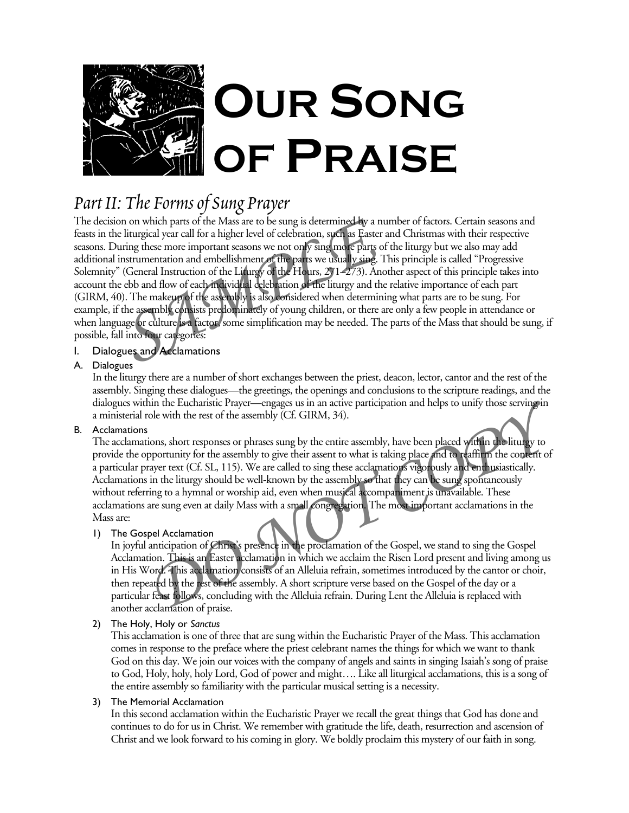

# *Part II: The Forms of Sung Prayer*

The decision on which parts of the Mass are to be sung is determined by a number of factors. Certain seasons and feasts in the liturgical year call for a higher level of celebration, such as Easter and Christmas with their respective seasons. During these more important seasons we not only sing more parts of the liturgy but we also may add additional instrumentation and embellishment of the parts we usually sing. This principle is called "Progressive Solemnity" (General Instruction of the Liturgy of the Hours, 271–273). Another aspect of this principle takes into account the ebb and flow of each individual celebration of the liturgy and the relative importance of each part (GIRM, 40). The makeup of the assembly is also considered when determining what parts are to be sung. For example, if the assembly consists predominately of young children, or there are only a few people in attendance or when language or culture is a factor, some simplification may be needed. The parts of the Mass that should be sung, if possible, fall into four categories: on on which parts of the Mass are to be sung is determined by a nure liturgical year call for a higher level of celebration, such as Easter an uring these more important seasons we not only sing more parts of instrumentati

## I. Dialogues and Acclamations

## A. Dialogues

In the liturgy there are a number of short exchanges between the priest, deacon, lector, cantor and the rest of the assembly. Singing these dialogues—the greetings, the openings and conclusions to the scripture readings, and the dialogues within the Eucharistic Prayer—engages us in an active participation and helps to unify those serving in a ministerial role with the rest of the assembly (Cf. GIRM, 34).

## B. Acclamations

The acclamations, short responses or phrases sung by the entire assembly, have been placed within the liturgy to provide the opportunity for the assembly to give their assent to what is taking place and to reaffirm the content of a particular prayer text (Cf. SL, 115). We are called to sing these acclamations vigorously and enthusiastically. Acclamations in the liturgy should be well-known by the assembly so that they can be sung spontaneously without referring to a hymnal or worship aid, even when musical accompaniment is unavailable. These acclamations are sung even at daily Mass with a small congregation. The most important acclamations in the Mass are: The Eucharistic Prayer—engages us in an active participation and helps to unify those serving in<br>be with the rest of the assembly (Cf. GIRM, 34).<br>
Jons, short responses or phrases sung by the entire assembly, have been pla

## 1) The Gospel Acclamation

In joyful anticipation of Christ's presence in the proclamation of the Gospel, we stand to sing the Gospel Acclamation. This is an Easter acclamation in which we acclaim the Risen Lord present and living among us in His Word. This acclamation consists of an Alleluia refrain, sometimes introduced by the cantor or choir, then repeated by the rest of the assembly. A short scripture verse based on the Gospel of the day or a particular feast follows, concluding with the Alleluia refrain. During Lent the Alleluia is replaced with another acclamation of praise.

## 2) The Holy, Holy or *Sanctus*

This acclamation is one of three that are sung within the Eucharistic Prayer of the Mass. This acclamation comes in response to the preface where the priest celebrant names the things for which we want to thank God on this day. We join our voices with the company of angels and saints in singing Isaiah's song of praise to God, Holy, holy, holy Lord, God of power and might…. Like all liturgical acclamations, this is a song of the entire assembly so familiarity with the particular musical setting is a necessity.

### 3) The Memorial Acclamation

In this second acclamation within the Eucharistic Prayer we recall the great things that God has done and continues to do for us in Christ. We remember with gratitude the life, death, resurrection and ascension of Christ and we look forward to his coming in glory. We boldly proclaim this mystery of our faith in song.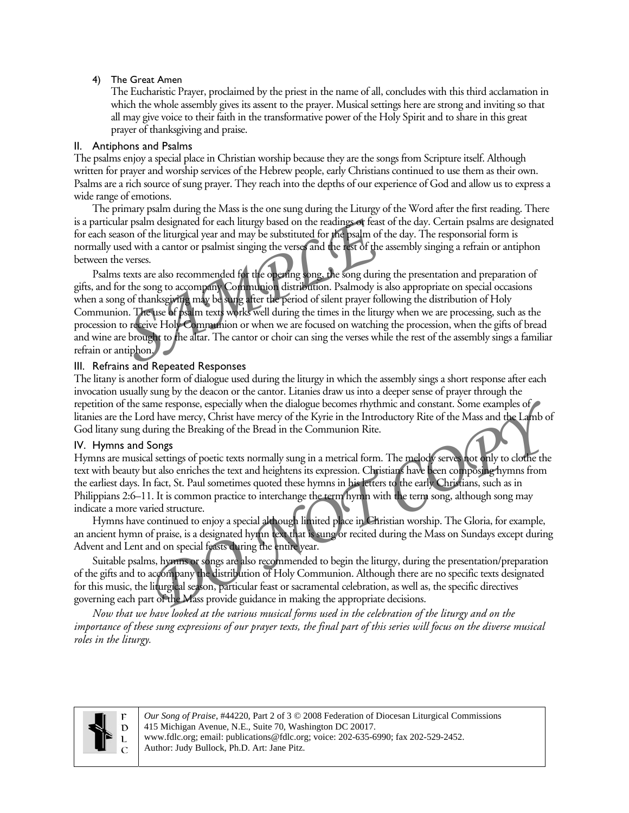#### 4) The Great Amen

The Eucharistic Prayer, proclaimed by the priest in the name of all, concludes with this third acclamation in which the whole assembly gives its assent to the prayer. Musical settings here are strong and inviting so that all may give voice to their faith in the transformative power of the Holy Spirit and to share in this great prayer of thanksgiving and praise.

#### II. Antiphons and Psalms

The psalms enjoy a special place in Christian worship because they are the songs from Scripture itself. Although written for prayer and worship services of the Hebrew people, early Christians continued to use them as their own. Psalms are a rich source of sung prayer. They reach into the depths of our experience of God and allow us to express a wide range of emotions.

The primary psalm during the Mass is the one sung during the Liturgy of the Word after the first reading. There is a particular psalm designated for each liturgy based on the readings or feast of the day. Certain psalms are designated for each season of the liturgical year and may be substituted for the psalm of the day. The responsorial form is normally used with a cantor or psalmist singing the verses and the rest of the assembly singing a refrain or antiphon between the verses.

Psalms texts are also recommended for the opening song, the song during the presentation and preparation of gifts, and for the song to accompany Communion distribution. Psalmody is also appropriate on special occasions when a song of thanksgiving may be sung after the period of silent prayer following the distribution of Holy Communion. The use of psalm texts works well during the times in the liturgy when we are processing, such as the procession to receive Holy Communion or when we are focused on watching the procession, when the gifts of bread and wine are brought to the altar. The cantor or choir can sing the verses while the rest of the assembly sings a familiar refrain or antiphon. Fraction of the liturgical year and may be substituted for the psalm of the sed with a cantor or psalmist singing the verses and the rest of the accesses.<br>
SERVIE 2021 THE VIEW of the opening song, the song during or the s

## III. Refrains and Repeated Responses

The litany is another form of dialogue used during the liturgy in which the assembly sings a short response after each invocation usually sung by the deacon or the cantor. Litanies draw us into a deeper sense of prayer through the repetition of the same response, especially when the dialogue becomes rhythmic and constant. Some examples of litanies are the Lord have mercy, Christ have mercy of the Kyrie in the Introductory Rite of the Mass and the Lamb of God litany sung during the Breaking of the Bread in the Communion Rite.

### IV. Hymns and Songs

Hymns are musical settings of poetic texts normally sung in a metrical form. The melody serves not only to clothe the text with beauty but also enriches the text and heightens its expression. Christians have been composing hymns from the earliest days. In fact, St. Paul sometimes quoted these hymns in his letters to the early Christians, such as in Philippians 2:6–11. It is common practice to interchange the term hymn with the term song, although song may indicate a more varied structure. me response, especially when the dialogue becomes rhythmic and constant. Some examples of<br>d have mercy, Christ have mercy of the Kyrie in the Introductory Rite of the Mass and the Lamb of<br>uring the Breaking of the Bread in

Hymns have continued to enjoy a special although limited place in Christian worship. The Gloria, for example, an ancient hymn of praise, is a designated hymn text that is sung or recited during the Mass on Sundays except during Advent and Lent and on special feasts during the entire year.

Suitable psalms, hymns or songs are also recommended to begin the liturgy, during the presentation/preparation of the gifts and to accompany the distribution of Holy Communion. Although there are no specific texts designated for this music, the liturgical season, particular feast or sacramental celebration, as well as, the specific directives governing each part of the Mass provide guidance in making the appropriate decisions.

*Now that we have looked at the various musical forms used in the celebration of the liturgy and on the importance of these sung expressions of our prayer texts, the final part of this series will focus on the diverse musical roles in the liturgy.* 



*Our Song of Praise*, #44220, Part 2 of 3 © 2008 Federation of Diocesan Liturgical Commissions 415 Michigan Avenue, N.E., Suite 70, Washington DC 20017. www.fdlc.org; email: publications@fdlc.org; voice: 202-635-6990; fax 202-529-2452. Author: Judy Bullock, Ph.D. Art: Jane Pitz.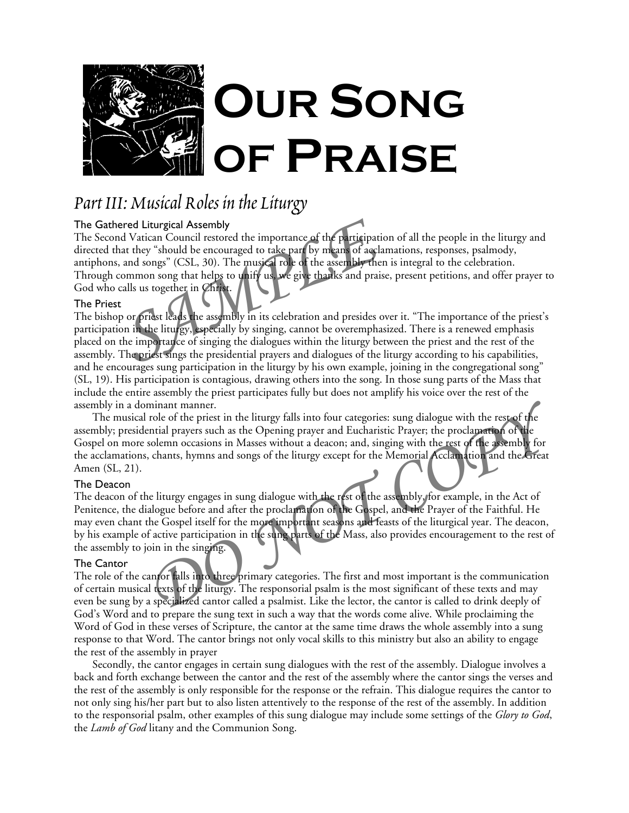

## *Part III: Musical Roles in the Liturgy*

### The Gathered Liturgical Assembly

The Second Vatican Council restored the importance of the participation of all the people in the liturgy and directed that they "should be encouraged to take part by means of acclamations, responses, psalmody, antiphons, and songs" (CSL, 30). The musical role of the assembly then is integral to the celebration. Through common song that helps to unify us, we give thanks and praise, present petitions, and offer prayer to God who calls us together in Christ. ared Liturgical Assembly<br>
In dVatican Council restored the importance of the participation<br>
at they "should be encouraged to take part by means of acclan<br>
and songs" (CSL, 30). The musical role of the assembly then<br>
common

## The Priest

The bishop or priest leads the assembly in its celebration and presides over it. "The importance of the priest's participation in the liturgy, especially by singing, cannot be overemphasized. There is a renewed emphasis placed on the importance of singing the dialogues within the liturgy between the priest and the rest of the assembly. The priest sings the presidential prayers and dialogues of the liturgy according to his capabilities, and he encourages sung participation in the liturgy by his own example, joining in the congregational song" (SL, 19). His participation is contagious, drawing others into the song. In those sung parts of the Mass that include the entire assembly the priest participates fully but does not amplify his voice over the rest of the assembly in a dominant manner.

The musical role of the priest in the liturgy falls into four categories: sung dialogue with the rest of the assembly; presidential prayers such as the Opening prayer and Eucharistic Prayer; the proclamation of the Gospel on more solemn occasions in Masses without a deacon; and, singing with the rest of the assembly for the acclamations, chants, hymns and songs of the liturgy except for the Memorial Acclamation and the Great Amen (SL, 21).

### The Deacon

The deacon of the liturgy engages in sung dialogue with the rest of the assembly, for example, in the Act of Penitence, the dialogue before and after the proclamation of the Gospel, and the Prayer of the Faithful. He may even chant the Gospel itself for the more important seasons and feasts of the liturgical year. The deacon, by his example of active participation in the sung parts of the Mass, also provides encouragement to the rest of the assembly to join in the singing. minant manner.<br>
Trole of the priest in the liturgy falls into four categories: sung dialogue with the rest of the<br>
partial prayers such as the Opening prayer and Eucharistic Prayer; the proclamation of the<br>
Doclemn occasio

### The Cantor

The role of the cantor falls into three primary categories. The first and most important is the communication of certain musical texts of the liturgy. The responsorial psalm is the most significant of these texts and may even be sung by a specialized cantor called a psalmist. Like the lector, the cantor is called to drink deeply of God's Word and to prepare the sung text in such a way that the words come alive. While proclaiming the Word of God in these verses of Scripture, the cantor at the same time draws the whole assembly into a sung response to that Word. The cantor brings not only vocal skills to this ministry but also an ability to engage the rest of the assembly in prayer

Secondly, the cantor engages in certain sung dialogues with the rest of the assembly. Dialogue involves a back and forth exchange between the cantor and the rest of the assembly where the cantor sings the verses and the rest of the assembly is only responsible for the response or the refrain. This dialogue requires the cantor to not only sing his/her part but to also listen attentively to the response of the rest of the assembly. In addition to the responsorial psalm, other examples of this sung dialogue may include some settings of the *Glory to God*, the *Lamb of God* litany and the Communion Song.